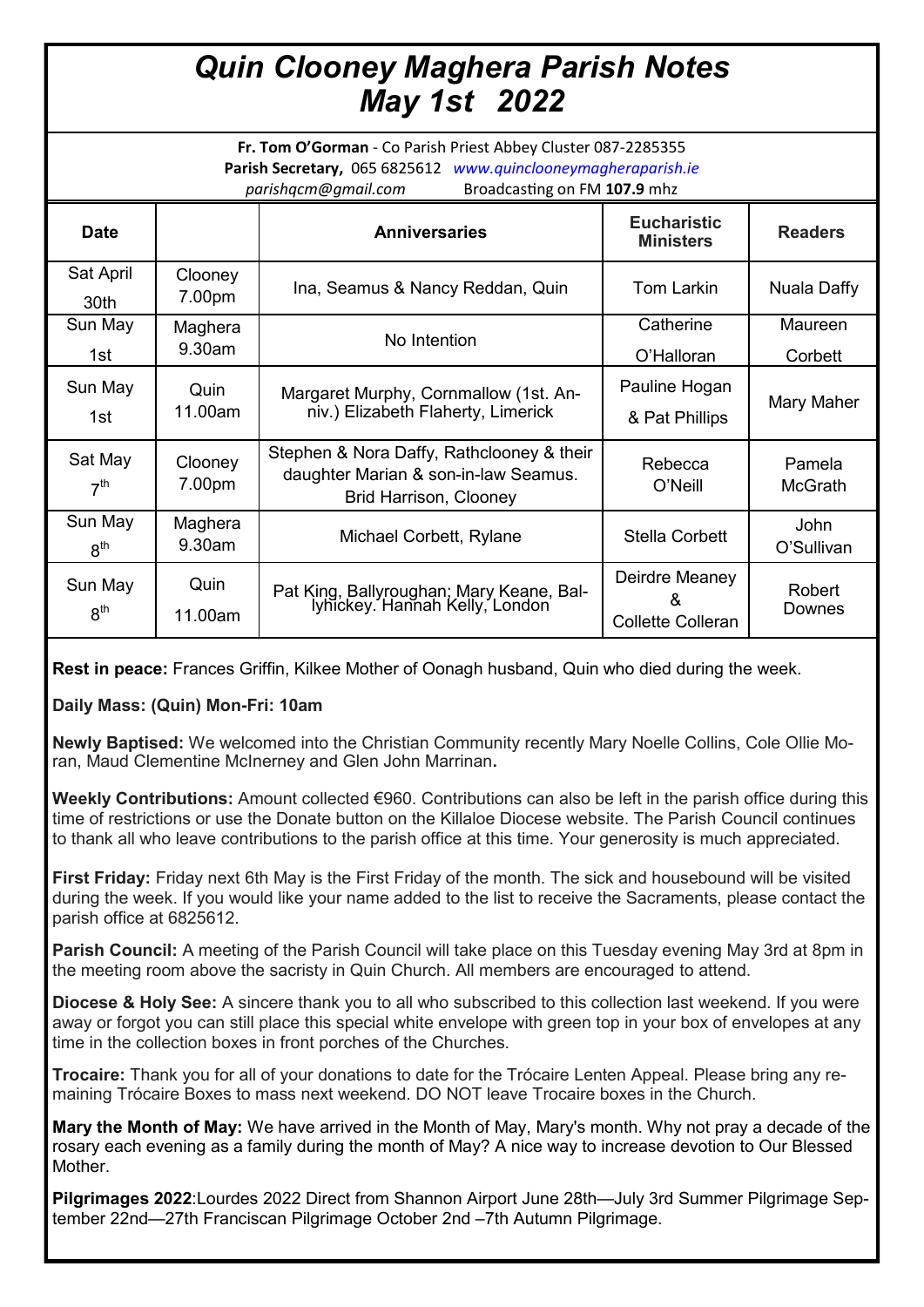## *Quin Clooney Maghera Parish Notes May 1st 2022*

**Fr. Tom O'Gorman** - Co Parish Priest Abbey Cluster 087-2285355 **Parish Secretary,** 065 6825612 *www.quinclooneymagheraparish.ie parishqcm@gmail.com* Broadcasting on FM **107.9** mhz

| <b>Date</b>                |                   | <b>Anniversaries</b>                                                                                               | <b>Eucharistic</b><br><b>Ministers</b>          | <b>Readers</b>     |
|----------------------------|-------------------|--------------------------------------------------------------------------------------------------------------------|-------------------------------------------------|--------------------|
| Sat April<br>30th          | Clooney<br>7.00pm | Ina, Seamus & Nancy Reddan, Quin                                                                                   | Tom Larkin                                      | Nuala Daffy        |
| Sun May                    | Maghera           | No Intention                                                                                                       | Catherine                                       | Maureen            |
| 1st                        | 9.30am            |                                                                                                                    | O'Halloran                                      | Corbett            |
| Sun May<br>1st             | Quin<br>11.00am   | Margaret Murphy, Cornmallow (1st. An-<br>niv.) Elizabeth Flaherty, Limerick                                        | Pauline Hogan<br>& Pat Phillips                 | Mary Maher         |
| Sat May<br>7 <sup>th</sup> | Clooney<br>7.00pm | Stephen & Nora Daffy, Rathclooney & their<br>daughter Marian & son-in-law Seamus.<br><b>Brid Harrison, Clooney</b> | Rebecca<br>O'Neill                              | Pamela<br>McGrath  |
| Sun May<br>$R^{th}$        | Maghera<br>9.30am | Michael Corbett, Rylane                                                                                            | Stella Corbett                                  | John<br>O'Sullivan |
| Sun May<br>8 <sup>th</sup> | Quin<br>11.00am   | Pat King, Ballyroughan; Mary Keane, Bal-<br>lyhickey. Hannah Kelly, London                                         | Deirdre Meaney<br>&<br><b>Collette Colleran</b> | Robert<br>Downes   |

**Rest in peace:** Frances Griffin, Kilkee Mother of Oonagh husband, Quin who died during the week.

**Daily Mass: (Quin) Mon-Fri: 10am**

**Newly Baptised:** We welcomed into the Christian Community recently Mary Noelle Collins, Cole Ollie Moran, Maud Clementine McInerney and Glen John Marrinan**.** 

**Weekly Contributions:** Amount collected €960. Contributions can also be left in the parish office during this time of restrictions or use the Donate button on the Killaloe Diocese website. The Parish Council continues to thank all who leave contributions to the parish office at this time. Your generosity is much appreciated.

**First Friday:** Friday next 6th May is the First Friday of the month. The sick and housebound will be visited during the week. If you would like your name added to the list to receive the Sacraments, please contact the parish office at 6825612.

**Parish Council:** A meeting of the Parish Council will take place on this Tuesday evening May 3rd at 8pm in the meeting room above the sacristy in Quin Church. All members are encouraged to attend.

**Diocese & Holy See:** A sincere thank you to all who subscribed to this collection last weekend. If you were away or forgot you can still place this special white envelope with green top in your box of envelopes at any time in the collection boxes in front porches of the Churches.

**Trocaire:** Thank you for all of your donations to date for the Trócaire Lenten Appeal. Please bring any remaining Trócaire Boxes to mass next weekend. DO NOT leave Trocaire boxes in the Church.

**Mary the Month of May:** We have arrived in the Month of May, Mary's month. Why not pray a decade of the rosary each evening as a family during the month of May? A nice way to increase devotion to Our Blessed Mother.

**Pilgrimages 2022**:Lourdes 2022 Direct from Shannon Airport June 28th—July 3rd Summer Pilgrimage September 22nd—27th Franciscan Pilgrimage October 2nd –7th Autumn Pilgrimage.